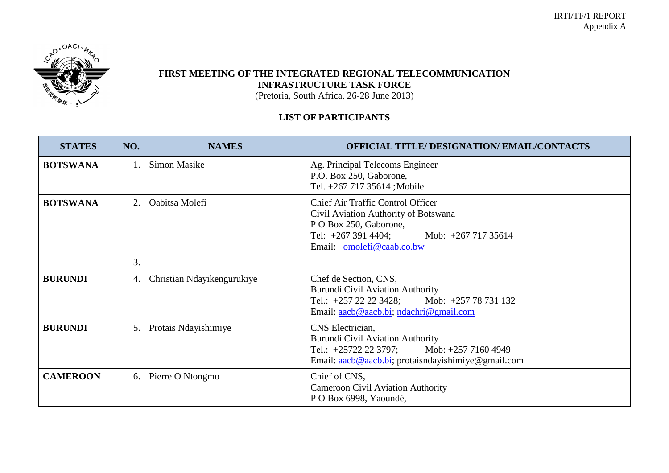

## **FIRST MEETING OF THE INTEGRATED REGIONAL TELECOMMUNICATION INFRASTRUCTURE TASK FORCE**

(Pretoria, South Africa, 26-28 June 2013)

## **LIST OF PARTICIPANTS**

| <b>STATES</b>   | NO. | <b>NAMES</b>               | <b>OFFICIAL TITLE/ DESIGNATION/ EMAIL/CONTACTS</b>                                                                                                                                        |
|-----------------|-----|----------------------------|-------------------------------------------------------------------------------------------------------------------------------------------------------------------------------------------|
| <b>BOTSWANA</b> |     | <b>Simon Masike</b>        | Ag. Principal Telecoms Engineer<br>P.O. Box 250, Gaborone,<br>Tel. +267 717 35614; Mobile                                                                                                 |
| <b>BOTSWANA</b> | 2.  | Oabitsa Molefi             | <b>Chief Air Traffic Control Officer</b><br>Civil Aviation Authority of Botswana<br>P O Box 250, Gaborone,<br>Tel: $+267$ 391 4404;<br>Mob: $+267$ 717 35614<br>Email: omolefi@caab.co.bw |
|                 | 3.  |                            |                                                                                                                                                                                           |
| <b>BURUNDI</b>  | 4.  | Christian Ndayikengurukiye | Chef de Section, CNS,<br><b>Burundi Civil Aviation Authority</b><br>Mob: +257 78 731 132<br>Tel.: +257 22 22 3428;<br>Email: aacb@aacb.bi; ndachri@gmail.com                              |
| <b>BURUNDI</b>  | 5.  | Protais Ndayishimiye       | CNS Electrician,<br><b>Burundi Civil Aviation Authority</b><br>Tel.: +25722 22 3797; Mob: +257 7160 4949<br>Email: aacb@aacb.bi; protaisndayishimiye@gmail.com                            |
| <b>CAMEROON</b> | 6.  | Pierre O Ntongmo           | Chief of CNS,<br><b>Cameroon Civil Aviation Authority</b><br>P O Box 6998, Yaoundé,                                                                                                       |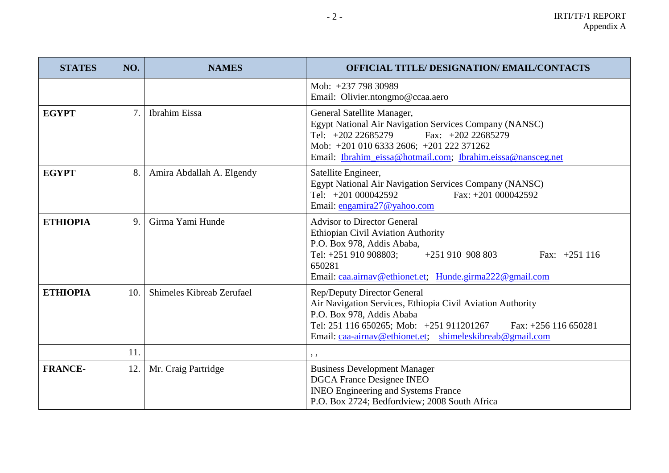| <b>STATES</b>   | NO. | <b>NAMES</b>              | <b>OFFICIAL TITLE/ DESIGNATION/ EMAIL/CONTACTS</b>                                                                                                                                                                                                       |
|-----------------|-----|---------------------------|----------------------------------------------------------------------------------------------------------------------------------------------------------------------------------------------------------------------------------------------------------|
|                 |     |                           | Mob: +237 798 30989<br>Email: Olivier.ntongmo@ccaa.aero                                                                                                                                                                                                  |
| <b>EGYPT</b>    | 7.  | <b>Ibrahim</b> Eissa      | General Satellite Manager,<br>Egypt National Air Navigation Services Company (NANSC)<br>Fax: $+202$ 22685279<br>Tel: $+202\,22685279$<br>Mob: +201 010 6333 2606; +201 222 371262<br>Email: Ibrahim_eissa@hotmail.com; Ibrahim.eissa@nansceg.net         |
| <b>EGYPT</b>    | 8.  | Amira Abdallah A. Elgendy | Satellite Engineer,<br>Egypt National Air Navigation Services Company (NANSC)<br>Fax: $+201000042592$<br>Tel: $+201000042592$<br>Email: engamira27@yahoo.com                                                                                             |
| <b>ETHIOPIA</b> | 9.  | Girma Yami Hunde          | <b>Advisor to Director General</b><br><b>Ethiopian Civil Aviation Authority</b><br>P.O. Box 978, Addis Ababa,<br>Tel: +251 910 908803;<br>$+251910908803$<br>Fax: $+251$ 116<br>650281<br>Email: caa.airnav@ethionet.et; Hunde.girma222@gmail.com        |
| <b>ETHIOPIA</b> | 10. | Shimeles Kibreab Zerufael | Rep/Deputy Director General<br>Air Navigation Services, Ethiopia Civil Aviation Authority<br>P.O. Box 978, Addis Ababa<br>Tel: 251 116 650265; Mob: +251 911201267<br>Fax: $+256$ 116 650281<br>Email: caa-airnav@ethionet.et; shimeleskibreab@gmail.com |
|                 | 11. |                           | , ,                                                                                                                                                                                                                                                      |
| <b>FRANCE-</b>  | 12. | Mr. Craig Partridge       | <b>Business Development Manager</b><br><b>DGCA France Designee INEO</b><br><b>INEO Engineering and Systems France</b><br>P.O. Box 2724; Bedfordview; 2008 South Africa                                                                                   |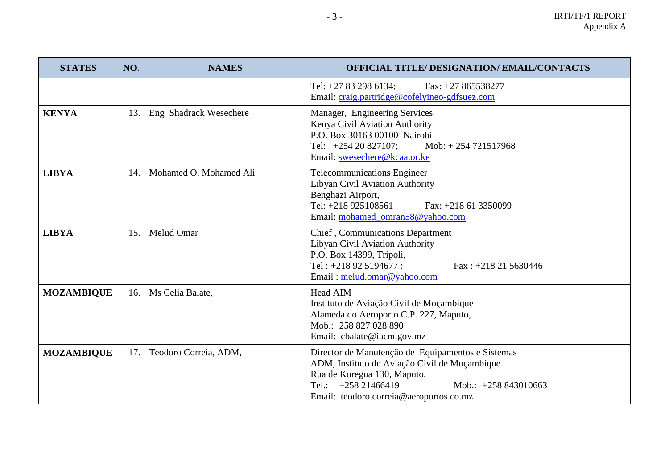| <b>STATES</b>     | NO. | <b>NAMES</b>           | <b>OFFICIAL TITLE/ DESIGNATION/ EMAIL/CONTACTS</b>                                                                                                                                                                              |
|-------------------|-----|------------------------|---------------------------------------------------------------------------------------------------------------------------------------------------------------------------------------------------------------------------------|
|                   |     |                        | Tel: +27 83 298 6134;<br>Fax: $+27865538277$<br>Email: craig.partridge@cofelyineo-gdfsuez.com                                                                                                                                   |
| <b>KENYA</b>      | 13. | Eng Shadrack Wesechere | Manager, Engineering Services<br>Kenya Civil Aviation Authority<br>P.O. Box 30163 00100 Nairobi<br>Tel: $+25420827107$ ;<br>Mob: $+254721517968$<br>Email: swesechere@kcaa.or.ke                                                |
| <b>LIBYA</b>      | 14. | Mohamed O. Mohamed Ali | <b>Telecommunications Engineer</b><br>Libyan Civil Aviation Authority<br>Benghazi Airport,<br>Tel: +218 925108561<br>Fax: $+218$ 61 3350099<br>Email: mohamed_omran58@yahoo.com                                                 |
| <b>LIBYA</b>      | 15. | <b>Melud Omar</b>      | Chief, Communications Department<br>Libyan Civil Aviation Authority<br>P.O. Box 14399, Tripoli,<br>Tel: $+218925194677$ :<br>Fax: $+218215630446$<br>Email: melud.omar@yahoo.com                                                |
| <b>MOZAMBIQUE</b> |     | 16.   Ms Celia Balate, | <b>Head AIM</b><br>Instituto de Aviação Civil de Moçambique<br>Alameda do Aeroporto C.P. 227, Maputo,<br>Mob.: 258 827 028 890<br>Email: cbalate@iacm.gov.mz                                                                    |
| <b>MOZAMBIQUE</b> | 17. | Teodoro Correia, ADM,  | Director de Manutenção de Equipamentos e Sistemas<br>ADM, Instituto de Aviação Civil de Moçambique<br>Rua de Koregua 130, Maputo,<br>Tel.: $+258\,21466419$<br>Mob.: $+258843010663$<br>Email: teodoro.correia@aeroportos.co.mz |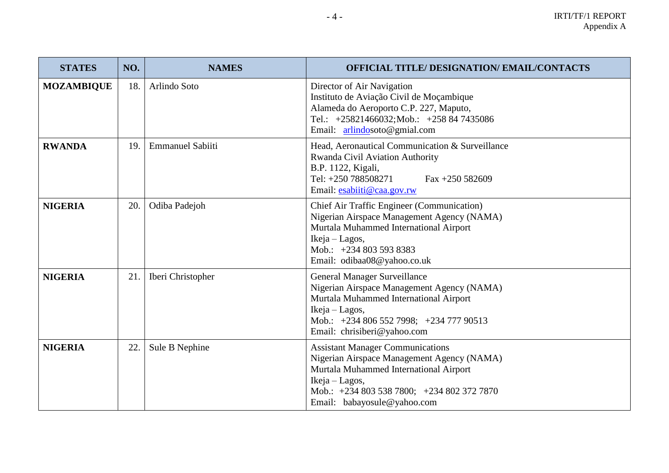| <b>STATES</b>     | NO. | <b>NAMES</b>            | <b>OFFICIAL TITLE/ DESIGNATION/ EMAIL/CONTACTS</b>                                                                                                                                                                             |
|-------------------|-----|-------------------------|--------------------------------------------------------------------------------------------------------------------------------------------------------------------------------------------------------------------------------|
| <b>MOZAMBIQUE</b> | 18. | Arlindo Soto            | Director of Air Navigation<br>Instituto de Aviação Civil de Moçambique<br>Alameda do Aeroporto C.P. 227, Maputo,<br>Tel.: +25821466032;Mob.: +258 84 7435086<br>Email: arlindosoto@gmial.com                                   |
| <b>RWANDA</b>     | 19. | <b>Emmanuel Sabiiti</b> | Head, Aeronautical Communication & Surveillance<br>Rwanda Civil Aviation Authority<br>B.P. 1122, Kigali,<br>Tel: +250 788508271<br>Fax $+250$ 582609<br>Email: esabiiti@caa.gov.rw                                             |
| <b>NIGERIA</b>    | 20. | Odiba Padejoh           | <b>Chief Air Traffic Engineer (Communication)</b><br>Nigerian Airspace Management Agency (NAMA)<br>Murtala Muhammed International Airport<br>Ikeja – Lagos,<br>Mob.: +234 803 593 8383<br>Email: odibaa08@yahoo.co.uk          |
| <b>NIGERIA</b>    | 21. | Iberi Christopher       | General Manager Surveillance<br>Nigerian Airspace Management Agency (NAMA)<br>Murtala Muhammed International Airport<br>Ikeja – Lagos,<br>Mob.: +234 806 552 7998; +234 777 90513<br>Email: chrisiberi@yahoo.com               |
| <b>NIGERIA</b>    | 22. | Sule B Nephine          | <b>Assistant Manager Communications</b><br>Nigerian Airspace Management Agency (NAMA)<br>Murtala Muhammed International Airport<br>$Ikeja-Lagos,$<br>Mob.: +234 803 538 7800; +234 802 372 7870<br>Email: babayosule@yahoo.com |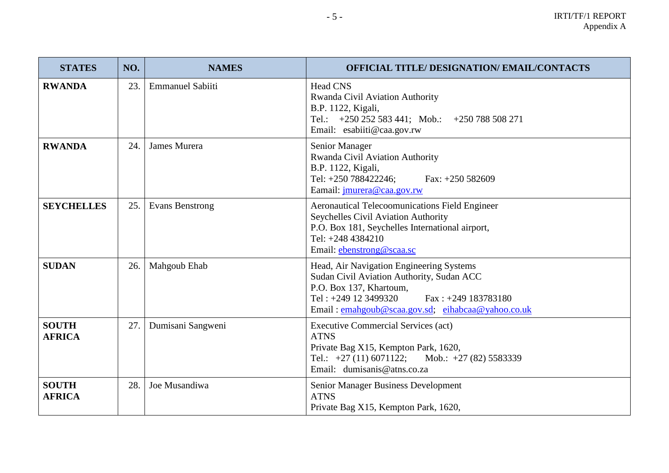| <b>STATES</b>                 | NO. | <b>NAMES</b>            | <b>OFFICIAL TITLE/ DESIGNATION/ EMAIL/CONTACTS</b>                                                                                                                                                                       |
|-------------------------------|-----|-------------------------|--------------------------------------------------------------------------------------------------------------------------------------------------------------------------------------------------------------------------|
| <b>RWANDA</b>                 | 23. | <b>Emmanuel Sabiiti</b> | <b>Head CNS</b><br>Rwanda Civil Aviation Authority<br>B.P. 1122, Kigali,<br>Tel.: $+250252583441$ ; Mob.: $+250788508271$<br>Email: esabiiti@caa.gov.rw                                                                  |
| <b>RWANDA</b>                 | 24. | James Murera            | Senior Manager<br>Rwanda Civil Aviation Authority<br>B.P. 1122, Kigali,<br>Tel: +250 788422246;<br>Fax: $+250$ 582609<br>Eamail: jmurera@caa.gov.rw                                                                      |
| <b>SEYCHELLES</b>             | 25. | <b>Evans Benstrong</b>  | <b>Aeronautical Telecoomunications Field Engineer</b><br>Seychelles Civil Aviation Authority<br>P.O. Box 181, Seychelles International airport,<br>Tel: $+2484384210$<br>Email: ebenstrong@scaa.sc                       |
| <b>SUDAN</b>                  | 26. | Mahgoub Ehab            | Head, Air Navigation Engineering Systems<br>Sudan Civil Aviation Authority, Sudan ACC<br>P.O. Box 137, Khartoum,<br>Tel: $+249$ 12 3499320<br>$Fax: +249 183783180$<br>Email: emahgoub@scaa.gov.sd; eihabcaa@yahoo.co.uk |
| <b>SOUTH</b><br><b>AFRICA</b> | 27. | Dumisani Sangweni       | <b>Executive Commercial Services (act)</b><br><b>ATNS</b><br>Private Bag X15, Kempton Park, 1620,<br>Tel.: $+27(11)6071122$ ;<br>Mob.: $+27(82)$ 5583339<br>Email: dumisanis@atns.co.za                                  |
| <b>SOUTH</b><br><b>AFRICA</b> | 28. | Joe Musandiwa           | <b>Senior Manager Business Development</b><br><b>ATNS</b><br>Private Bag X15, Kempton Park, 1620,                                                                                                                        |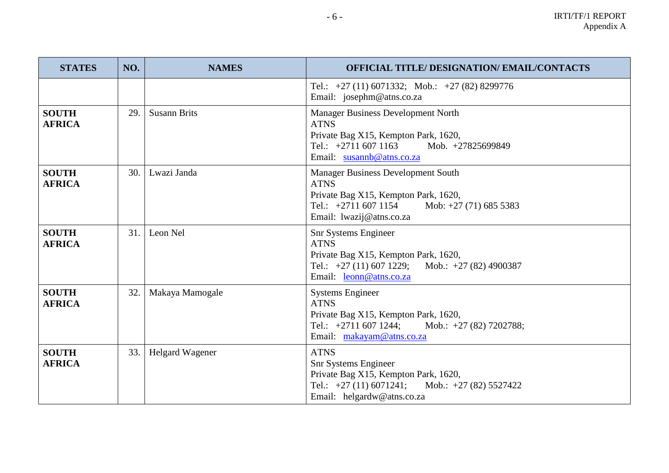| <b>STATES</b>                 | NO. | <b>NAMES</b>        | <b>OFFICIAL TITLE/ DESIGNATION/ EMAIL/CONTACTS</b>                                                                                                                                  |
|-------------------------------|-----|---------------------|-------------------------------------------------------------------------------------------------------------------------------------------------------------------------------------|
|                               |     |                     | Tel.: $+27$ (11) 6071332; Mob.: $+27$ (82) 8299776<br>Email: josephm@atns.co.za                                                                                                     |
| <b>SOUTH</b><br><b>AFRICA</b> | 29. | <b>Susann Brits</b> | <b>Manager Business Development North</b><br><b>ATNS</b><br>Private Bag X15, Kempton Park, 1620,<br>Tel.: $+2711\,607\,1163$<br>Mob. +27825699849<br>Email: susannb@atns.co.za      |
| <b>SOUTH</b><br><b>AFRICA</b> | 30. | Lwazi Janda         | <b>Manager Business Development South</b><br><b>ATNS</b><br>Private Bag X15, Kempton Park, 1620,<br>Tel.: $+2711\,607\,1154$<br>Mob: $+27(71)$ 685 5383<br>Email: lwazij@atns.co.za |
| <b>SOUTH</b><br><b>AFRICA</b> | 31. | Leon Nel            | Snr Systems Engineer<br><b>ATNS</b><br>Private Bag X15, Kempton Park, 1620,<br>Tel.: $+27(11)$ 607 1229; Mob.: $+27(82)$ 4900387<br>Email: leonn@atns.co.za                         |
| <b>SOUTH</b><br><b>AFRICA</b> | 32. | Makaya Mamogale     | <b>Systems Engineer</b><br><b>ATNS</b><br>Private Bag X15, Kempton Park, 1620,<br>Tel.: $+2711\,607\,1244$ ;<br>Mob.: $+27(82)$ 7202788;<br>Email: makayam@atns.co.za               |
| <b>SOUTH</b><br><b>AFRICA</b> | 33. | Helgard Wagener     | <b>ATNS</b><br><b>Snr Systems Engineer</b><br>Private Bag X15, Kempton Park, 1620,<br>Tel.: $+27(11)6071241$ ;<br>Mob.: $+27(82)$ 5527422<br>Email: helgardw@atns.co.za             |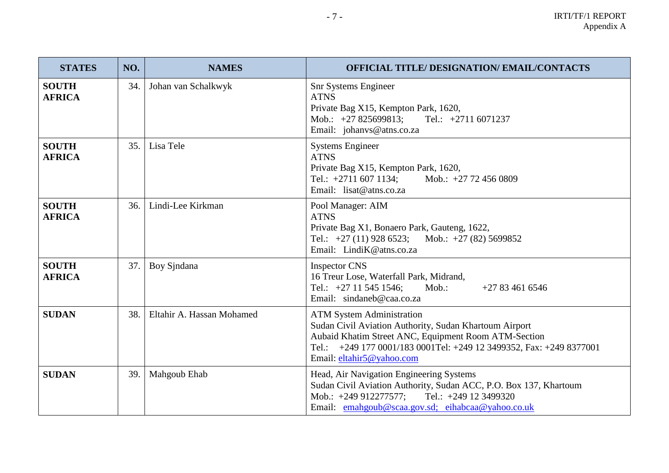| <b>STATES</b>                 | NO. | <b>NAMES</b>              | <b>OFFICIAL TITLE/ DESIGNATION/ EMAIL/CONTACTS</b>                                                                                                                                                                                                     |
|-------------------------------|-----|---------------------------|--------------------------------------------------------------------------------------------------------------------------------------------------------------------------------------------------------------------------------------------------------|
| <b>SOUTH</b><br><b>AFRICA</b> | 34. | Johan van Schalkwyk       | <b>Snr Systems Engineer</b><br><b>ATNS</b><br>Private Bag X15, Kempton Park, 1620,<br>Mob.: +27 825699813; Tel.: +2711 6071237<br>Email: johanvs@atns.co.za                                                                                            |
| <b>SOUTH</b><br><b>AFRICA</b> | 35. | Lisa Tele                 | <b>Systems Engineer</b><br><b>ATNS</b><br>Private Bag X15, Kempton Park, 1620,<br>Tel.: $+2711$ 607 1134;<br>Mob.: $+27$ 72 456 0809<br>Email: lisat@atns.co.za                                                                                        |
| <b>SOUTH</b><br><b>AFRICA</b> | 36. | Lindi-Lee Kirkman         | Pool Manager: AIM<br><b>ATNS</b><br>Private Bag X1, Bonaero Park, Gauteng, 1622,<br>Tel.: $+27$ (11) 928 6523; Mob.: $+27$ (82) 5699852<br>Email: LindiK@atns.co.za                                                                                    |
| <b>SOUTH</b><br><b>AFRICA</b> | 37. | Boy Sindana               | <b>Inspector CNS</b><br>16 Treur Lose, Waterfall Park, Midrand,<br>Mob.:<br>Tel.: $+27$ 11 545 1546;<br>$+27834616546$<br>Email: sindaneb@caa.co.za                                                                                                    |
| <b>SUDAN</b>                  | 38. | Eltahir A. Hassan Mohamed | <b>ATM System Administration</b><br>Sudan Civil Aviation Authority, Sudan Khartoum Airport<br>Aubaid Khatim Street ANC, Equipment Room ATM-Section<br>Tel.: +249 177 0001/183 0001Tel: +249 12 3499352, Fax: +249 8377001<br>Email: eltahir5@yahoo.com |
| <b>SUDAN</b>                  | 39. | Mahgoub Ehab              | Head, Air Navigation Engineering Systems<br>Sudan Civil Aviation Authority, Sudan ACC, P.O. Box 137, Khartoum<br>Mob.: $+249912277577$ ;<br>Tel.: $+249$ 12 3499320<br>Email: emahgoub@scaa.gov.sd; eihabcaa@yahoo.co.uk                               |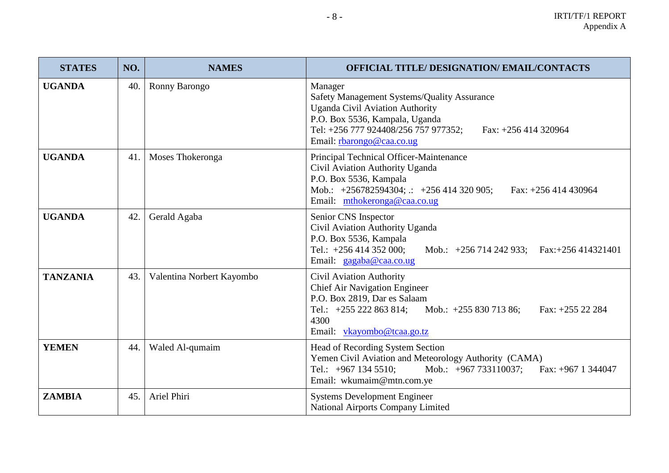| <b>STATES</b>   | NO. | <b>NAMES</b>              | <b>OFFICIAL TITLE/ DESIGNATION/ EMAIL/CONTACTS</b>                                                                                                                                                                              |
|-----------------|-----|---------------------------|---------------------------------------------------------------------------------------------------------------------------------------------------------------------------------------------------------------------------------|
| <b>UGANDA</b>   | 40. | Ronny Barongo             | Manager<br>Safety Management Systems/Quality Assurance<br><b>Uganda Civil Aviation Authority</b><br>P.O. Box 5536, Kampala, Uganda<br>Tel: +256 777 924408/256 757 977352;<br>Fax: +256 414 320964<br>Email: rbarongo@caa.co.ug |
| <b>UGANDA</b>   | 41. | Moses Thokeronga          | Principal Technical Officer-Maintenance<br>Civil Aviation Authority Uganda<br>P.O. Box 5536, Kampala<br>Mob.: $+256782594304$ ; $\therefore$ $+256414320905$ ;<br>Fax: $+256414430964$<br>Email: mthokeronga@caa.co.ug          |
| <b>UGANDA</b>   | 42. | Gerald Agaba              | Senior CNS Inspector<br>Civil Aviation Authority Uganda<br>P.O. Box 5536, Kampala<br>Tel.: $+256414352000$ ;<br>Mob.: +256 714 242 933; Fax:+256 414321401<br>Email: gagaba@caa.co.ug                                           |
| <b>TANZANIA</b> | 43. | Valentina Norbert Kayombo | <b>Civil Aviation Authority</b><br><b>Chief Air Navigation Engineer</b><br>P.O. Box 2819, Dar es Salaam<br>Tel.: $+255\,222\,863\,814$ ;<br>Mob.: $+25583071386$ ;<br>Fax: $+255$ 22 284<br>4300<br>Email: vkayombo@tcaa.go.tz  |
| <b>YEMEN</b>    | 44. | Waled Al-qumaim           | Head of Recording System Section<br>Yemen Civil Aviation and Meteorology Authority (CAMA)<br>Mob.: $+967 733110037$ ;<br>Tel.: $+967$ 134 5510;<br>Fax: $+967$ 1 344047<br>Email: wkumaim@mtn.com.ye                            |
| <b>ZAMBIA</b>   | 45. | Ariel Phiri               | <b>Systems Development Engineer</b><br><b>National Airports Company Limited</b>                                                                                                                                                 |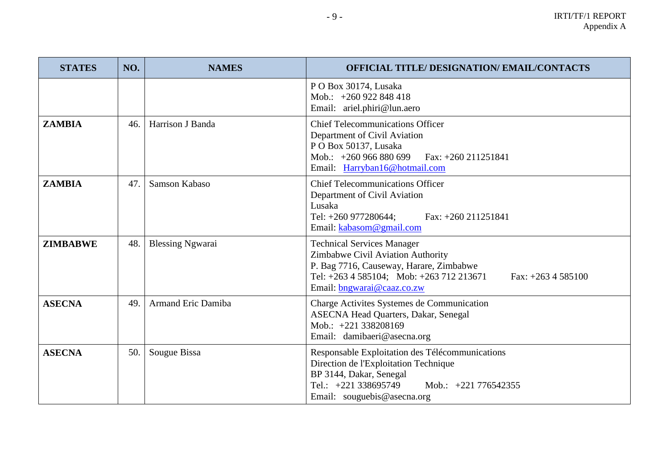| <b>STATES</b>   | NO. | <b>NAMES</b>            | <b>OFFICIAL TITLE/ DESIGNATION/ EMAIL/CONTACTS</b>                                                                                                                                                                  |
|-----------------|-----|-------------------------|---------------------------------------------------------------------------------------------------------------------------------------------------------------------------------------------------------------------|
|                 |     |                         | PO Box 30174, Lusaka<br>Mob.: $+260922848418$<br>Email: ariel.phiri@lun.aero                                                                                                                                        |
| <b>ZAMBIA</b>   | 46. | Harrison J Banda        | <b>Chief Telecommunications Officer</b><br>Department of Civil Aviation<br>PO Box 50137, Lusaka<br>Mob.: $+260966880699$<br>Fax: +260 211251841<br>Email: Harryban16@hotmail.com                                    |
| <b>ZAMBIA</b>   | 47. | Samson Kabaso           | <b>Chief Telecommunications Officer</b><br>Department of Civil Aviation<br>Lusaka<br>Tel: +260 977280644;<br>Fax: $+260\,211251841$<br>Email: kabasom@gmail.com                                                     |
| <b>ZIMBABWE</b> | 48. | <b>Blessing Ngwarai</b> | <b>Technical Services Manager</b><br>Zimbabwe Civil Aviation Authority<br>P. Bag 7716, Causeway, Harare, Zimbabwe<br>Tel: +263 4 585104; Mob: +263 712 213671<br>Fax: $+263$ 4 585100<br>Email: bngwarai@caaz.co.zw |
| <b>ASECNA</b>   | 49. | Armand Eric Damiba      | Charge Activites Systemes de Communication<br><b>ASECNA Head Quarters, Dakar, Senegal</b><br>Mob.: $+221338208169$<br>Email: damibaeri@asecna.org                                                                   |
| <b>ASECNA</b>   | 50. | Sougue Bissa            | Responsable Exploitation des Télécommunications<br>Direction de l'Exploitation Technique<br>BP 3144, Dakar, Senegal<br>Tel.: +221 338695749<br>Mob.: +221 776542355<br>Email: souguebis@asecna.org                  |